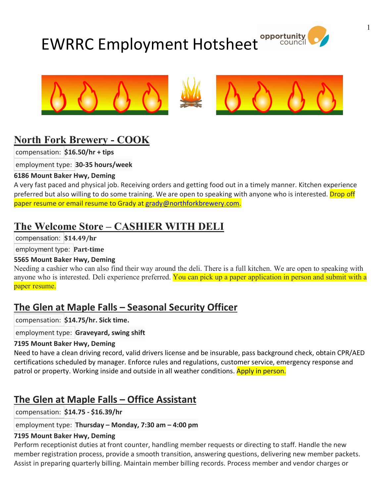# EWRRC Employment Hotsheet





# **North Fork Brewery - COOK**

compensation: **\$16.50/hr + tips**

employment type: **30-35 hours/week**

#### **6186 Mount Baker Hwy, Deming**

A very fast paced and physical job. Receiving orders and getting food out in a timely manner. Kitchen experience preferred but also willing to do some training. We are open to speaking with anyone who is interested. Drop off paper resume or email resume to Grady at grady@northforkbrewery.com.

# **The Welcome Store – CASHIER WITH DELI**

compensation: **\$14.49/hr**

employment type: **Part-time**

#### **5565 Mount Baker Hwy, Deming**

Needing a cashier who can also find their way around the deli. There is a full kitchen. We are open to speaking with anyone who is interested. Deli experience preferred. You can pick up a paper application in person and submit with a paper resume.

# **The Glen at Maple Falls – Seasonal Security Officer**

compensation: **\$14.75/hr. Sick time.**

employment type: **Graveyard, swing shift**

#### **7195 Mount Baker Hwy, Deming**

Need to have a clean driving record, valid drivers license and be insurable, pass background check, obtain CPR/AED certifications scheduled by manager. Enforce rules and regulations, customer service, emergency response and patrol or property. Working inside and outside in all weather conditions. Apply in person.

# **The Glen at Maple Falls – Office Assistant**

compensation: **\$14.75 - \$16.39/hr**

#### employment type: **Thursday – Monday, 7:30 am – 4:00 pm**

#### **7195 Mount Baker Hwy, Deming**

Perform receptionist duties at front counter, handling member requests or directing to staff. Handle the new member registration process, provide a smooth transition, answering questions, delivering new member packets. Assist in preparing quarterly billing. Maintain member billing records. Process member and vendor charges or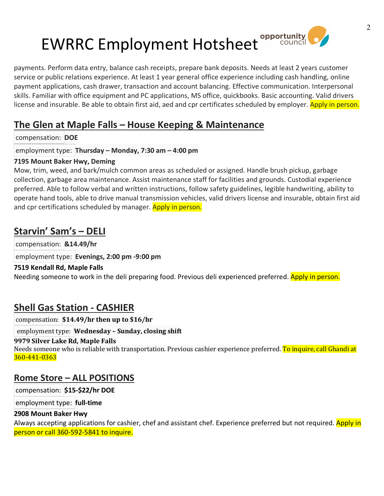# EWRRC Employment Hotsheet<sup>opportunity</sup>



payments. Perform data entry, balance cash receipts, prepare bank deposits. Needs at least 2 years customer service or public relations experience. At least 1 year general office experience including cash handling, online payment applications, cash drawer, transaction and account balancing. Effective communication. Interpersonal skills. Familiar with office equipment and PC applications, MS office, quickbooks. Basic accounting. Valid drivers license and insurable. Be able to obtain first aid, aed and cpr certificates scheduled by employer. Apply in person.

# **The Glen at Maple Falls – House Keeping & Maintenance**

compensation: **DOE**

employment type: **Thursday – Monday, 7:30 am – 4:00 pm**

#### **7195 Mount Baker Hwy, Deming**

Mow, trim, weed, and bark/mulch common areas as scheduled or assigned. Handle brush pickup, garbage collection, garbage area maintenance. Assist maintenance staff for facilities and grounds. Custodial experience preferred. Able to follow verbal and written instructions, follow safety guidelines, legible handwriting, ability to operate hand tools, able to drive manual transmission vehicles, valid drivers license and insurable, obtain first aid and cpr certifications scheduled by manager. Apply in person.

# **Starvin' Sam's – DELI**

compensation: **&14.49/hr**

employment type: **Evenings, 2:00 pm -9:00 pm**

#### **7519 Kendall Rd, Maple Falls**

Needing someone to work in the deli preparing food. Previous deli experienced preferred. Apply in person.

# **Shell Gas Station - CASHIER**

compensation: **\$14.49/hr then up to \$16/hr**

employment type: **Wednesday – Sunday, closing shift**

#### **9979 Silver Lake Rd, Maple Falls**

Needs someone who is reliable with transportation. Previous cashier experience preferred. <mark>To inquire, call Ghandi at</mark> 360-441-0363

### **Rome Store – ALL POSITIONS**

compensation: **\$15-\$22/hr DOE**

employment type: **full-time**

#### **2908 Mount Baker Hwy**

Always accepting applications for cashier, chef and assistant chef. Experience preferred but not required. Apply in person or call 360-592-5841 to inquire.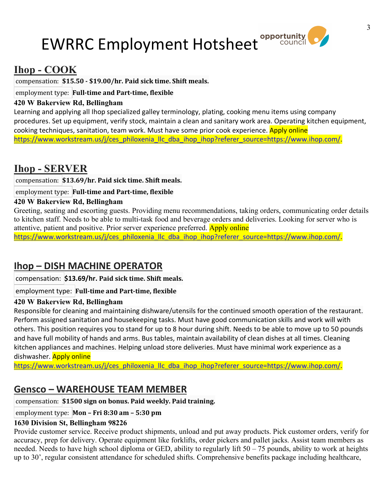# EWRRC Employment Hotsheet



# **Ihop - COOK**

compensation: **\$15.50 - \$19.00/hr. Paid sick time. Shift meals.**

### employment type: **Full-time and Part-time, flexible**

#### **420 W Bakerview Rd, Bellingham**

Learning and applying all Ihop specialized galley terminology, plating, cooking menu items using company procedures. Set up equipment, verify stock, maintain a clean and sanitary work area. Operating kitchen equipment, cooking techniques, sanitation, team work. Must have some prior cook experience. Apply online https://www.workstream.us/j/ces\_philoxenia\_llc\_dba\_ihop\_ihop?referer\_source=https://www.ihop.com/.

# **Ihop - SERVER**

compensation: **\$13.69/hr. Paid sick time. Shift meals.**

employment type: **Full-time and Part-time, flexible**

#### **420 W Bakerview Rd, Bellingham**

Greeting, seating and escorting guests. Providing menu recommendations, taking orders, communicating order details to kitchen staff. Needs to be able to multi-task food and beverage orders and deliveries. Looking for server who is attentive, patient and positive. Prior server experience preferred. Apply online https://www.workstream.us/j/ces\_philoxenia\_llc\_dba\_ihop\_ihop?referer\_source=https://www.ihop.com/.

# **Ihop – DISH MACHINE OPERATOR**

compensation: **\$13.69/hr. Paid sick time. Shift meals.**

#### employment type: **Full-time and Part-time, flexible**

#### **420 W Bakerview Rd, Bellingham**

Responsible for cleaning and maintaining dishware/utensils for the continued smooth operation of the restaurant. Perform assigned sanitation and housekeeping tasks. Must have good communication skills and work will with others. This position requires you to stand for up to 8 hour during shift. Needs to be able to move up to 50 pounds and have full mobility of hands and arms. Bus tables, maintain availability of clean dishes at all times. Cleaning kitchen appliances and machines. Helping unload store deliveries. Must have minimal work experience as a dishwasher. Apply online

https://www.workstream.us/j/ces\_philoxenia\_llc\_dba\_ihop\_ihop?referer\_source=https://www.ihop.com/.

# **Gensco – WAREHOUSE TEAM MEMBER**

#### compensation: **\$1500 sign on bonus. Paid weekly. Paid training.**

#### employment type: **Mon – Fri 8:30 am – 5:30 pm**

#### **1630 Division St, Bellingham 98226**

Provide customer service. Receive product shipments, unload and put away products. Pick customer orders, verify for accuracy, prep for delivery. Operate equipment like forklifts, order pickers and pallet jacks. Assist team members as needed. Needs to have high school diploma or GED, ability to regularly lift 50 – 75 pounds, ability to work at heights up to 30', regular consistent attendance for scheduled shifts. Comprehensive benefits package including healthcare,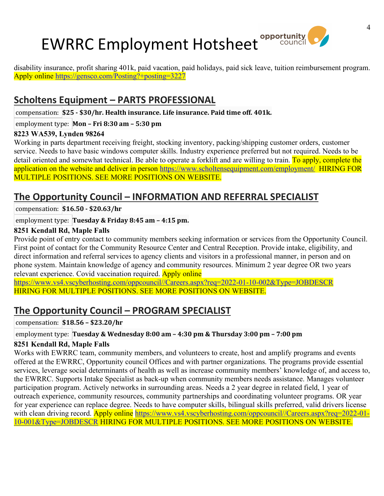# EWRRC Employment Hotsheet **Opportunity**



disability insurance, profit sharing 401k, paid vacation, paid holidays, paid sick leave, tuition reimbursement program. Apply online https://gensco.com/Posting?+posting=3227

# **Scholtens Equipment – PARTS PROFESSIONAL**

compensation: **\$25 - \$30/hr. Health insurance. Life insurance. Paid time off. 401k.**

#### employment type: **Mon – Fri 8:30 am – 5:30 pm**

#### **8223 WA539, Lynden 98264**

Working in parts department receiving freight, stocking inventory, packing/shipping customer orders, customer service. Needs to have basic windows computer skills. Industry experience preferred but not required. Needs to be detail oriented and somewhat technical. Be able to operate a forklift and are willing to train. To apply, complete the application on the website and deliver in person https://www.scholtensequipment.com/employment/ HIRING FOR MULTIPLE POSITIONS. SEE MORE POSITIONS ON WEBSITE.

# **The Opportunity Council – INFORMATION AND REFERRAL SPECIALIST**

compensation: **\$16.50 - \$20.63/hr**

#### employment type: **Tuesday & Friday 8:45 am – 4:15 pm.**

#### **8251 Kendall Rd, Maple Falls**

Provide point of entry contact to community members seeking information or services from the Opportunity Council. First point of contact for the Community Resource Center and Central Reception. Provide intake, eligibility, and direct information and referral services to agency clients and visitors in a professional manner, in person and on phone system. Maintain knowledge of agency and community resources. Minimum 2 year degree OR two years relevant experience. Covid vaccination required. Apply online

https://www.vs4.vscyberhosting.com/oppcouncil//Careers.aspx?req=2022-01-10-002&Type=JOBDESCR HIRING FOR MULTIPLE POSITIONS. SEE MORE POSITIONS ON WEBSITE.

# **The Opportunity Council – PROGRAM SPECIALIST**

compensation: **\$18.56 – \$23.20/hr**

#### employment type: **Tuesday & Wednesday 8:00 am – 4:30 pm & Thursday 3:00 pm – 7:00 pm**

#### **8251 Kendall Rd, Maple Falls**

Works with EWRRC team, community members, and volunteers to create, host and amplify programs and events offered at the EWRRC, Opportunity council Offices and with partner organizations. The programs provide essential services, leverage social determinants of health as well as increase community members' knowledge of, and access to, the EWRRC. Supports Intake Specialist as back-up when community members needs assistance. Manages volunteer participation program. Actively networks in surrounding areas. Needs a 2 year degree in related field, 1 year of outreach experience, community resources, community partnerships and coordinating volunteer programs. OR year for year experience can replace degree. Needs to have computer skills, bilingual skills preferred, valid drivers license with clean driving record. Apply online https://www.vs4.vscyberhosting.com/oppcouncil//Careers.aspx?req=2022-01-10-001&Type=JOBDESCR HIRING FOR MULTIPLE POSITIONS. SEE MORE POSITIONS ON WEBSITE.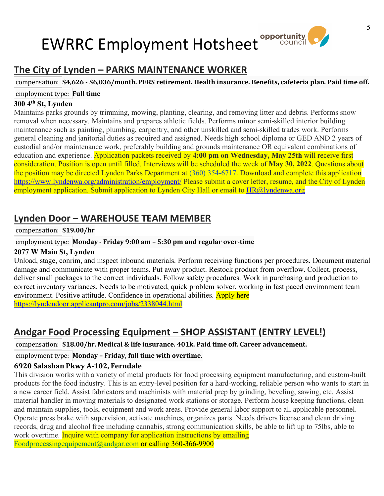## **opportunity** EWRRC Employment Hotsheet



compensation: **\$4,626 - \$6,036/month. PERS retirement. Health insurance. Benefits, cafeteria plan. Paid time off.** employment type: **Full time**

#### **300 4th St, Lynden**

Maintains parks grounds by trimming, mowing, planting, clearing, and removing litter and debris. Performs snow removal when necessary. Maintains and prepares athletic fields. Performs minor semi-skilled interior building maintenance such as painting, plumbing, carpentry, and other unskilled and semi-skilled trades work. Performs general cleaning and janitorial duties as required and assigned. Needs high school diploma or GED AND 2 years of custodial and/or maintenance work, preferably building and grounds maintenance OR equivalent combinations of education and experience. Application packets received by **4:00 pm on Wednesday, May 25th** will receive first consideration. Position is open until filled. Interviews will be scheduled the week of **May 30, 2022**. Questions about the position may be directed Lynden Parks Department at (360) 354-6717. Download and complete this application https://www.lyndenwa.org/administration/employment/ Please submit a cover letter, resume, and the City of Lynden employment application. Submit application to Lynden City Hall or email to HR@lyndenwa.org

# **Lynden Door – WAREHOUSE TEAM MEMBER**

#### compensation: **\$19.00/hr**

#### employment type: **Monday - Friday 9:00 am – 5:30 pm and regular over-time**

#### **2077 W Main St, Lynden**

Unload, stage, conrim, and inspect inbound materials. Perform receiving functions per procedures. Document material damage and communicate with proper teams. Put away product. Restock product from overflow. Collect, process, deliver small packages to the correct individuals. Follow safety procedures. Work in purchasing and production to correct inventory variances. Needs to be motivated, quick problem solver, working in fast paced environment team environment. Positive attitude. Confidence in operational abilities. Apply here https://lyndendoor.applicantpro.com/jobs/2338044.html

# **Andgar Food Processing Equipment – SHOP ASSISTANT (ENTRY LEVEL!)**

#### compensation: **\$18.00/hr. Medical & life insurance. 401k. Paid time off. Career advancement.**

#### employment type: **Monday – Friday, full time with overtime.**

#### **6920 Salashan Pkwy A-102, Ferndale**

This division works with a variety of metal products for food processing equipment manufacturing, and custom-built products for the food industry. This is an entry-level position for a hard-working, reliable person who wants to start in a new career field. Assist fabricators and machinists with material prep by grinding, beveling, sawing, etc. Assist material handler in moving materials to designated work stations or storage. Perform house keeping functions, clean and maintain supplies, tools, equipment and work areas. Provide general labor support to all applicable personnel. Operate press brake with supervision, activate machines, organizes parts. Needs drivers license and clean driving records, drug and alcohol free including cannabis, strong communication skills, be able to lift up to 75lbs, able to work overtime. Inquire with company for application instructions by emailing Foodprocessingequipement@andgar.com or calling 360-366-9900